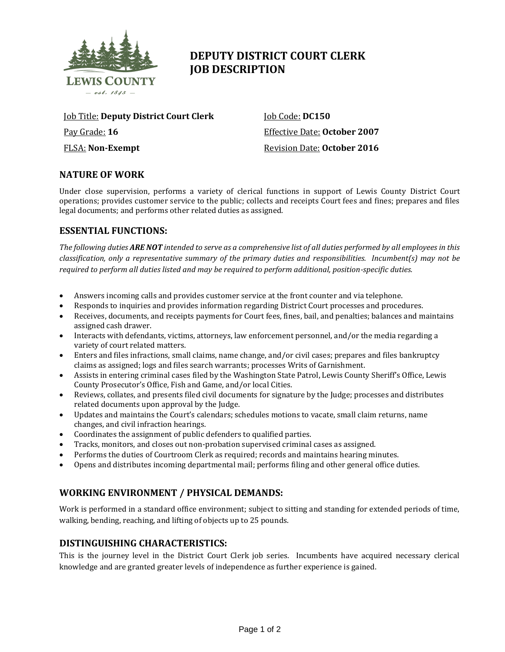

# **DEPUTY DISTRICT COURT CLERK JOB DESCRIPTION**

| <b>Job Title: Deputy District Court Clerk</b> |  |
|-----------------------------------------------|--|
| Pay Grade: 16                                 |  |
| <b>FLSA: Non-Exempt</b>                       |  |

Job Code: **DC150** Effective Date: **October 2007** Revision Date: **October 2016**

# **NATURE OF WORK**

Under close supervision, performs a variety of clerical functions in support of Lewis County District Court operations; provides customer service to the public; collects and receipts Court fees and fines; prepares and files legal documents; and performs other related duties as assigned.

# **ESSENTIAL FUNCTIONS:**

*The following duties ARE NOT intended to serve as a comprehensive list of all duties performed by all employees in this classification, only a representative summary of the primary duties and responsibilities. Incumbent(s) may not be required to perform all duties listed and may be required to perform additional, position-specific duties.*

- Answers incoming calls and provides customer service at the front counter and via telephone.
- Responds to inquiries and provides information regarding District Court processes and procedures.
- Receives, documents, and receipts payments for Court fees, fines, bail, and penalties; balances and maintains assigned cash drawer.
- Interacts with defendants, victims, attorneys, law enforcement personnel, and/or the media regarding a variety of court related matters.
- Enters and files infractions, small claims, name change, and/or civil cases; prepares and files bankruptcy claims as assigned; logs and files search warrants; processes Writs of Garnishment.
- Assists in entering criminal cases filed by the Washington State Patrol, Lewis County Sheriff's Office, Lewis County Prosecutor's Office, Fish and Game, and/or local Cities.
- Reviews, collates, and presents filed civil documents for signature by the Judge; processes and distributes related documents upon approval by the Judge.
- Updates and maintains the Court's calendars; schedules motions to vacate, small claim returns, name changes, and civil infraction hearings.
- Coordinates the assignment of public defenders to qualified parties.
- Tracks, monitors, and closes out non-probation supervised criminal cases as assigned.
- Performs the duties of Courtroom Clerk as required; records and maintains hearing minutes.
- Opens and distributes incoming departmental mail; performs filing and other general office duties.

# **WORKING ENVIRONMENT / PHYSICAL DEMANDS:**

Work is performed in a standard office environment; subject to sitting and standing for extended periods of time, walking, bending, reaching, and lifting of objects up to 25 pounds.

## **DISTINGUISHING CHARACTERISTICS:**

This is the journey level in the District Court Clerk job series. Incumbents have acquired necessary clerical knowledge and are granted greater levels of independence as further experience is gained.